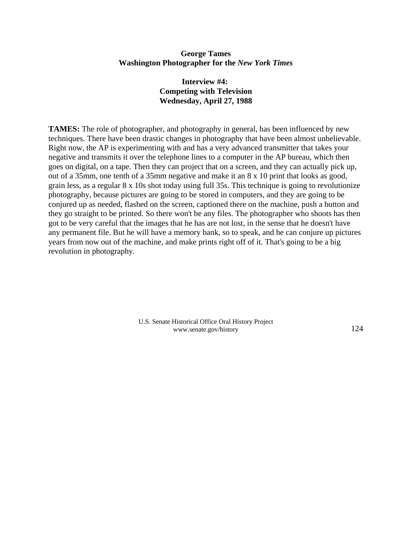## **George Tames Washington Photographer for the** *New York Times*

## **Interview #4: Competing with Television Wednesday, April 27, 1988**

**TAMES:** The role of photographer, and photography in general, has been influenced by new techniques. There have been drastic changes in photography that have been almost unbelievable. Right now, the AP is experimenting with and has a very advanced transmitter that takes your negative and transmits it over the telephone lines to a computer in the AP bureau, which then goes on digital, on a tape. Then they can project that on a screen, and they can actually pick up, out of a 35mm, one tenth of a 35mm negative and make it an 8 x 10 print that looks as good, grain less, as a regular 8 x 10s shot today using full 35s. This technique is going to revolutionize photography, because pictures are going to be stored in computers, and they are going to be conjured up as needed, flashed on the screen, captioned there on the machine, push a button and they go straight to be printed. So there won't be any files. The photographer who shoots has then got to be very careful that the images that he has are not lost, in the sense that he doesn't have any permanent file. But he will have a memory bank, so to speak, and he can conjure up pictures years from now out of the machine, and make prints right off of it. That's going to be a big revolution in photography.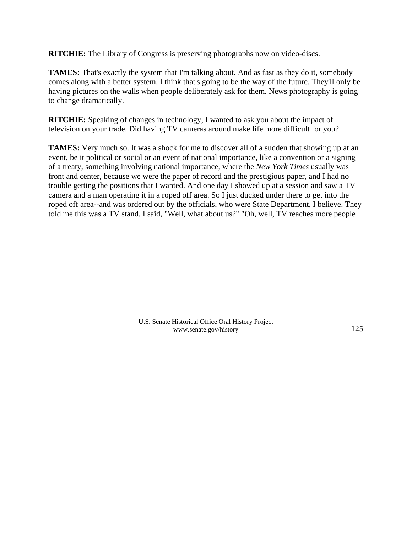**RITCHIE:** The Library of Congress is preserving photographs now on video-discs.

**TAMES:** That's exactly the system that I'm talking about. And as fast as they do it, somebody comes along with a better system. I think that's going to be the way of the future. They'll only be having pictures on the walls when people deliberately ask for them. News photography is going to change dramatically.

**RITCHIE:** Speaking of changes in technology, I wanted to ask you about the impact of television on your trade. Did having TV cameras around make life more difficult for you?

**TAMES:** Very much so. It was a shock for me to discover all of a sudden that showing up at an event, be it political or social or an event of national importance, like a convention or a signing of a treaty, something involving national importance, where the *New York Times* usually was front and center, because we were the paper of record and the prestigious paper, and I had no trouble getting the positions that I wanted. And one day I showed up at a session and saw a TV camera and a man operating it in a roped off area. So I just ducked under there to get into the roped off area--and was ordered out by the officials, who were State Department, I believe. They told me this was a TV stand. I said, "Well, what about us?" "Oh, well, TV reaches more people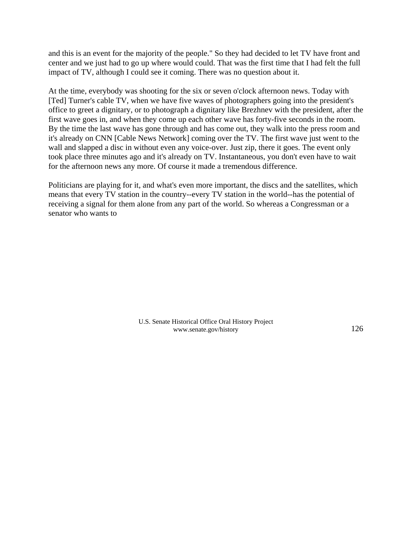and this is an event for the majority of the people." So they had decided to let TV have front and center and we just had to go up where would could. That was the first time that I had felt the full impact of TV, although I could see it coming. There was no question about it.

At the time, everybody was shooting for the six or seven o'clock afternoon news. Today with [Ted] Turner's cable TV, when we have five waves of photographers going into the president's office to greet a dignitary, or to photograph a dignitary like Brezhnev with the president, after the first wave goes in, and when they come up each other wave has forty-five seconds in the room. By the time the last wave has gone through and has come out, they walk into the press room and it's already on CNN [Cable News Network] coming over the TV. The first wave just went to the wall and slapped a disc in without even any voice-over. Just zip, there it goes. The event only took place three minutes ago and it's already on TV. Instantaneous, you don't even have to wait for the afternoon news any more. Of course it made a tremendous difference.

Politicians are playing for it, and what's even more important, the discs and the satellites, which means that every TV station in the country--every TV station in the world--has the potential of receiving a signal for them alone from any part of the world. So whereas a Congressman or a senator who wants to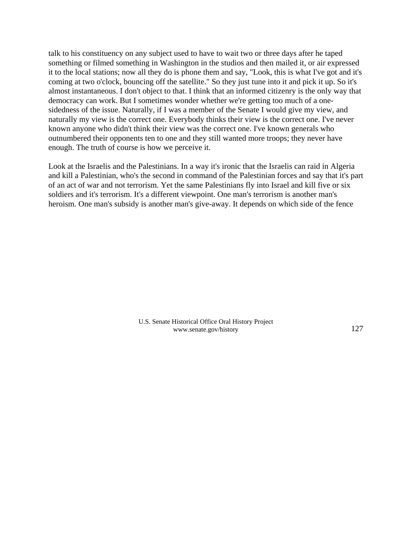talk to his constituency on any subject used to have to wait two or three days after he taped something or filmed something in Washington in the studios and then mailed it, or air expressed it to the local stations; now all they do is phone them and say, "Look, this is what I've got and it's coming at two o'clock, bouncing off the satellite." So they just tune into it and pick it up. So it's almost instantaneous. I don't object to that. I think that an informed citizenry is the only way that democracy can work. But I sometimes wonder whether we're getting too much of a onesidedness of the issue. Naturally, if I was a member of the Senate I would give my view, and naturally my view is the correct one. Everybody thinks their view is the correct one. I've never known anyone who didn't think their view was the correct one. I've known generals who outnumbered their opponents ten to one and they still wanted more troops; they never have enough. The truth of course is how we perceive it.

Look at the Israelis and the Palestinians. In a way it's ironic that the Israelis can raid in Algeria and kill a Palestinian, who's the second in command of the Palestinian forces and say that it's part of an act of war and not terrorism. Yet the same Palestinians fly into Israel and kill five or six soldiers and it's terrorism. It's a different viewpoint. One man's terrorism is another man's heroism. One man's subsidy is another man's give-away. It depends on which side of the fence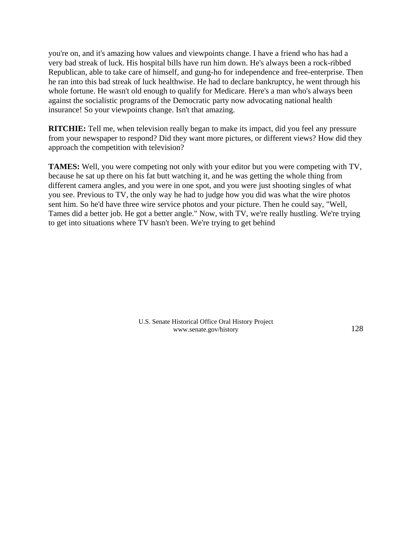you're on, and it's amazing how values and viewpoints change. I have a friend who has had a very bad streak of luck. His hospital bills have run him down. He's always been a rock-ribbed Republican, able to take care of himself, and gung-ho for independence and free-enterprise. Then he ran into this bad streak of luck healthwise. He had to declare bankruptcy, he went through his whole fortune. He wasn't old enough to qualify for Medicare. Here's a man who's always been against the socialistic programs of the Democratic party now advocating national health insurance! So your viewpoints change. Isn't that amazing.

**RITCHIE:** Tell me, when television really began to make its impact, did you feel any pressure from your newspaper to respond? Did they want more pictures, or different views? How did they approach the competition with television?

**TAMES:** Well, you were competing not only with your editor but you were competing with TV, because he sat up there on his fat butt watching it, and he was getting the whole thing from different camera angles, and you were in one spot, and you were just shooting singles of what you see. Previous to TV, the only way he had to judge how you did was what the wire photos sent him. So he'd have three wire service photos and your picture. Then he could say, "Well, Tames did a better job. He got a better angle." Now, with TV, we're really hustling. We're trying to get into situations where TV hasn't been. We're trying to get behind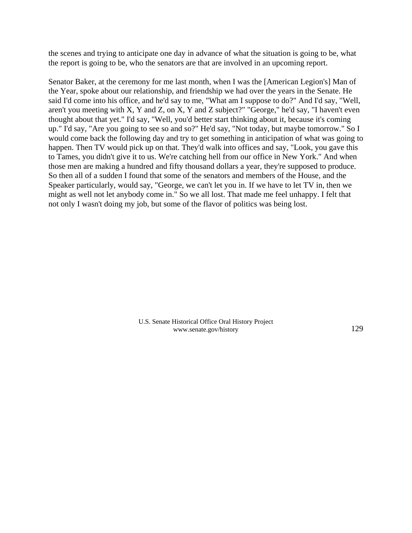the scenes and trying to anticipate one day in advance of what the situation is going to be, what the report is going to be, who the senators are that are involved in an upcoming report.

Senator Baker, at the ceremony for me last month, when I was the [American Legion's] Man of the Year, spoke about our relationship, and friendship we had over the years in the Senate. He said I'd come into his office, and he'd say to me, "What am I suppose to do?" And I'd say, "Well, aren't you meeting with X, Y and Z, on X, Y and Z subject?" "George," he'd say, "I haven't even thought about that yet." I'd say, "Well, you'd better start thinking about it, because it's coming up." I'd say, "Are you going to see so and so?" He'd say, "Not today, but maybe tomorrow." So I would come back the following day and try to get something in anticipation of what was going to happen. Then TV would pick up on that. They'd walk into offices and say, "Look, you gave this to Tames, you didn't give it to us. We're catching hell from our office in New York." And when those men are making a hundred and fifty thousand dollars a year, they're supposed to produce. So then all of a sudden I found that some of the senators and members of the House, and the Speaker particularly, would say, "George, we can't let you in. If we have to let TV in, then we might as well not let anybody come in." So we all lost. That made me feel unhappy. I felt that not only I wasn't doing my job, but some of the flavor of politics was being lost.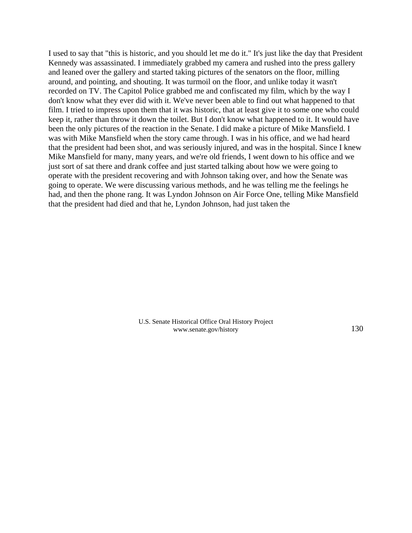I used to say that "this is historic, and you should let me do it." It's just like the day that President Kennedy was assassinated. I immediately grabbed my camera and rushed into the press gallery and leaned over the gallery and started taking pictures of the senators on the floor, milling around, and pointing, and shouting. It was turmoil on the floor, and unlike today it wasn't recorded on TV. The Capitol Police grabbed me and confiscated my film, which by the way I don't know what they ever did with it. We've never been able to find out what happened to that film. I tried to impress upon them that it was historic, that at least give it to some one who could keep it, rather than throw it down the toilet. But I don't know what happened to it. It would have been the only pictures of the reaction in the Senate. I did make a picture of Mike Mansfield. I was with Mike Mansfield when the story came through. I was in his office, and we had heard that the president had been shot, and was seriously injured, and was in the hospital. Since I knew Mike Mansfield for many, many years, and we're old friends, I went down to his office and we just sort of sat there and drank coffee and just started talking about how we were going to operate with the president recovering and with Johnson taking over, and how the Senate was going to operate. We were discussing various methods, and he was telling me the feelings he had, and then the phone rang. It was Lyndon Johnson on Air Force One, telling Mike Mansfield that the president had died and that he, Lyndon Johnson, had just taken the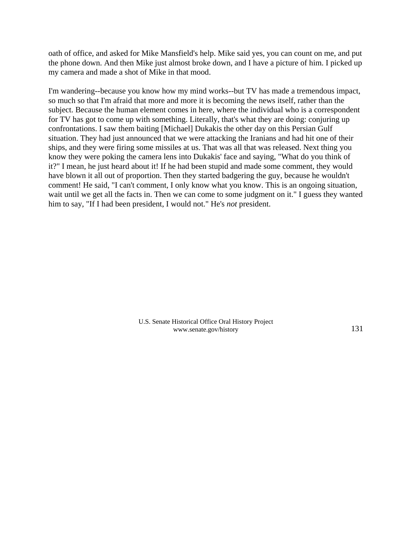oath of office, and asked for Mike Mansfield's help. Mike said yes, you can count on me, and put the phone down. And then Mike just almost broke down, and I have a picture of him. I picked up my camera and made a shot of Mike in that mood.

I'm wandering--because you know how my mind works--but TV has made a tremendous impact, so much so that I'm afraid that more and more it is becoming the news itself, rather than the subject. Because the human element comes in here, where the individual who is a correspondent for TV has got to come up with something. Literally, that's what they are doing: conjuring up confrontations. I saw them baiting [Michael] Dukakis the other day on this Persian Gulf situation. They had just announced that we were attacking the Iranians and had hit one of their ships, and they were firing some missiles at us. That was all that was released. Next thing you know they were poking the camera lens into Dukakis' face and saying, "What do you think of it?" I mean, he just heard about it! If he had been stupid and made some comment, they would have blown it all out of proportion. Then they started badgering the guy, because he wouldn't comment! He said, "I can't comment, I only know what you know. This is an ongoing situation, wait until we get all the facts in. Then we can come to some judgment on it." I guess they wanted him to say, "If I had been president, I would not." He's *not* president.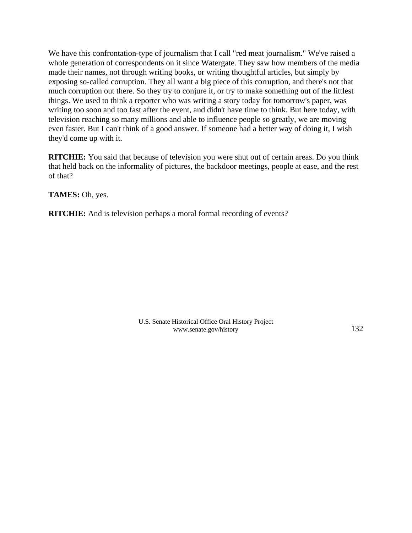We have this confrontation-type of journalism that I call "red meat journalism." We've raised a whole generation of correspondents on it since Watergate. They saw how members of the media made their names, not through writing books, or writing thoughtful articles, but simply by exposing so-called corruption. They all want a big piece of this corruption, and there's not that much corruption out there. So they try to conjure it, or try to make something out of the littlest things. We used to think a reporter who was writing a story today for tomorrow's paper, was writing too soon and too fast after the event, and didn't have time to think. But here today, with television reaching so many millions and able to influence people so greatly, we are moving even faster. But I can't think of a good answer. If someone had a better way of doing it, I wish they'd come up with it.

**RITCHIE:** You said that because of television you were shut out of certain areas. Do you think that held back on the informality of pictures, the backdoor meetings, people at ease, and the rest of that?

**TAMES:** Oh, yes.

**RITCHIE:** And is television perhaps a moral formal recording of events?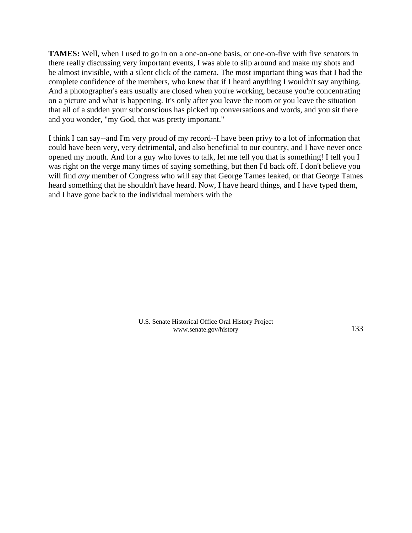**TAMES:** Well, when I used to go in on a one-on-one basis, or one-on-five with five senators in there really discussing very important events, I was able to slip around and make my shots and be almost invisible, with a silent click of the camera. The most important thing was that I had the complete confidence of the members, who knew that if I heard anything I wouldn't say anything. And a photographer's ears usually are closed when you're working, because you're concentrating on a picture and what is happening. It's only after you leave the room or you leave the situation that all of a sudden your subconscious has picked up conversations and words, and you sit there and you wonder, "my God, that was pretty important."

I think I can say--and I'm very proud of my record--I have been privy to a lot of information that could have been very, very detrimental, and also beneficial to our country, and I have never once opened my mouth. And for a guy who loves to talk, let me tell you that is something! I tell you I was right on the verge many times of saying something, but then I'd back off. I don't believe you will find *any* member of Congress who will say that George Tames leaked, or that George Tames heard something that he shouldn't have heard. Now, I have heard things, and I have typed them, and I have gone back to the individual members with the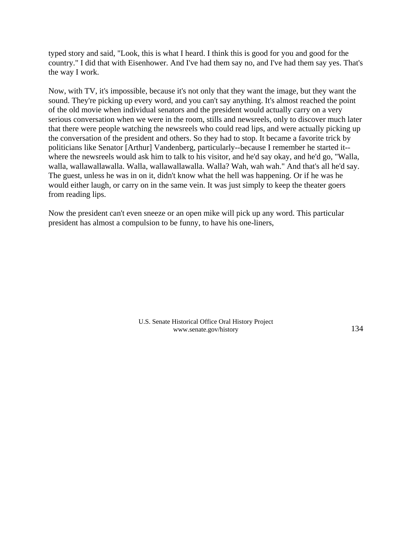typed story and said, "Look, this is what I heard. I think this is good for you and good for the country." I did that with Eisenhower. And I've had them say no, and I've had them say yes. That's the way I work.

Now, with TV, it's impossible, because it's not only that they want the image, but they want the sound. They're picking up every word, and you can't say anything. It's almost reached the point of the old movie when individual senators and the president would actually carry on a very serious conversation when we were in the room, stills and newsreels, only to discover much later that there were people watching the newsreels who could read lips, and were actually picking up the conversation of the president and others. So they had to stop. It became a favorite trick by politicians like Senator [Arthur] Vandenberg, particularly--because I remember he started it- where the newsreels would ask him to talk to his visitor, and he'd say okay, and he'd go, "Walla, walla, wallawallawalla. Walla, wallawallawalla. Walla? Wah, wah wah." And that's all he'd say. The guest, unless he was in on it, didn't know what the hell was happening. Or if he was he would either laugh, or carry on in the same vein. It was just simply to keep the theater goers from reading lips.

Now the president can't even sneeze or an open mike will pick up any word. This particular president has almost a compulsion to be funny, to have his one-liners,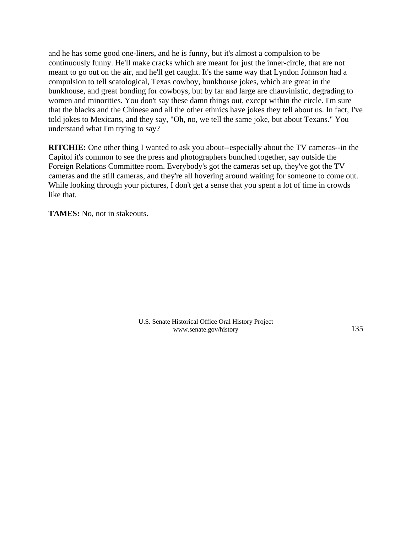and he has some good one-liners, and he is funny, but it's almost a compulsion to be continuously funny. He'll make cracks which are meant for just the inner-circle, that are not meant to go out on the air, and he'll get caught. It's the same way that Lyndon Johnson had a compulsion to tell scatological, Texas cowboy, bunkhouse jokes, which are great in the bunkhouse, and great bonding for cowboys, but by far and large are chauvinistic, degrading to women and minorities. You don't say these damn things out, except within the circle. I'm sure that the blacks and the Chinese and all the other ethnics have jokes they tell about us. In fact, I've told jokes to Mexicans, and they say, "Oh, no, we tell the same joke, but about Texans." You understand what I'm trying to say?

**RITCHIE:** One other thing I wanted to ask you about--especially about the TV cameras--in the Capitol it's common to see the press and photographers bunched together, say outside the Foreign Relations Committee room. Everybody's got the cameras set up, they've got the TV cameras and the still cameras, and they're all hovering around waiting for someone to come out. While looking through your pictures, I don't get a sense that you spent a lot of time in crowds like that.

**TAMES:** No, not in stakeouts.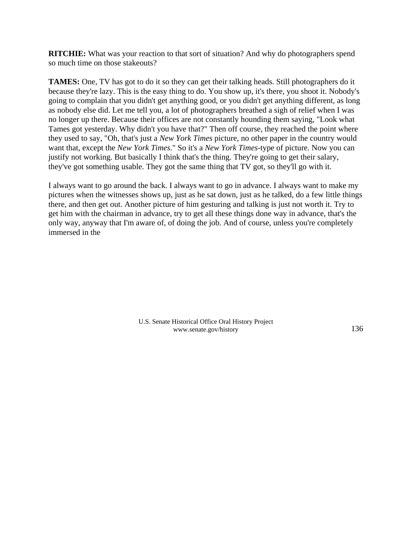**RITCHIE:** What was your reaction to that sort of situation? And why do photographers spend so much time on those stakeouts?

**TAMES:** One, TV has got to do it so they can get their talking heads. Still photographers do it because they're lazy. This is the easy thing to do. You show up, it's there, you shoot it. Nobody's going to complain that you didn't get anything good, or you didn't get anything different, as long as nobody else did. Let me tell you, a lot of photographers breathed a sigh of relief when I was no longer up there. Because their offices are not constantly hounding them saying, "Look what Tames got yesterday. Why didn't you have that?" Then off course, they reached the point where they used to say, "Oh, that's just a *New York Times* picture, no other paper in the country would want that, except the *New York Times*." So it's a *New York Times*-type of picture. Now you can justify not working. But basically I think that's the thing. They're going to get their salary, they've got something usable. They got the same thing that TV got, so they'll go with it.

I always want to go around the back. I always want to go in advance. I always want to make my pictures when the witnesses shows up, just as he sat down, just as he talked, do a few little things there, and then get out. Another picture of him gesturing and talking is just not worth it. Try to get him with the chairman in advance, try to get all these things done way in advance, that's the only way, anyway that I'm aware of, of doing the job. And of course, unless you're completely immersed in the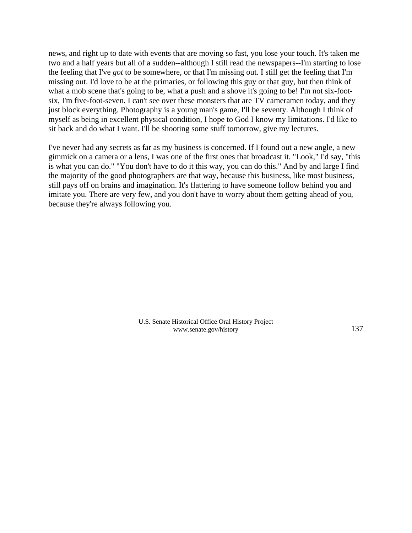news, and right up to date with events that are moving so fast, you lose your touch. It's taken me two and a half years but all of a sudden--although I still read the newspapers--I'm starting to lose the feeling that I've *got* to be somewhere, or that I'm missing out. I still get the feeling that I'm missing out. I'd love to be at the primaries, or following this guy or that guy, but then think of what a mob scene that's going to be, what a push and a shove it's going to be! I'm not six-footsix, I'm five-foot-seven. I can't see over these monsters that are TV cameramen today, and they just block everything. Photography is a young man's game, I'll be seventy. Although I think of myself as being in excellent physical condition, I hope to God I know my limitations. I'd like to sit back and do what I want. I'll be shooting some stuff tomorrow, give my lectures.

I've never had any secrets as far as my business is concerned. If I found out a new angle, a new gimmick on a camera or a lens, I was one of the first ones that broadcast it. "Look," I'd say, "this is what you can do." "You don't have to do it this way, you can do this." And by and large I find the majority of the good photographers are that way, because this business, like most business, still pays off on brains and imagination. It's flattering to have someone follow behind you and imitate you. There are very few, and you don't have to worry about them getting ahead of you, because they're always following you.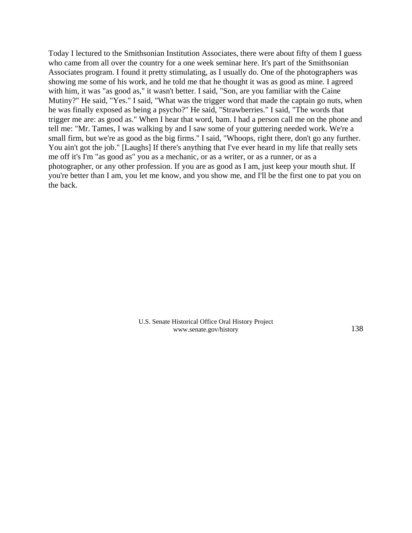Today I lectured to the Smithsonian Institution Associates, there were about fifty of them I guess who came from all over the country for a one week seminar here. It's part of the Smithsonian Associates program. I found it pretty stimulating, as I usually do. One of the photographers was showing me some of his work, and he told me that he thought it was as good as mine. I agreed with him, it was "as good as," it wasn't better. I said, "Son, are you familiar with the Caine Mutiny?" He said, "Yes." I said, "What was the trigger word that made the captain go nuts, when he was finally exposed as being a psycho?" He said, "Strawberries." I said, "The words that trigger me are: as good as." When I hear that word, bam. I had a person call me on the phone and tell me: "Mr. Tames, I was walking by and I saw some of your guttering needed work. We're a small firm, but we're as good as the big firms." I said, "Whoops, right there, don't go any further. You ain't got the job." [Laughs] If there's anything that I've ever heard in my life that really sets me off it's I'm "as good as" you as a mechanic, or as a writer, or as a runner, or as a photographer, or any other profession. If you are as good as I am, just keep your mouth shut. If you're better than I am, you let me know, and you show me, and I'll be the first one to pat you on the back.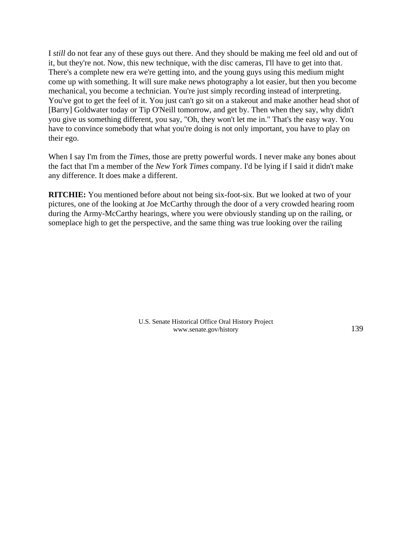I *still* do not fear any of these guys out there. And they should be making me feel old and out of it, but they're not. Now, this new technique, with the disc cameras, I'll have to get into that. There's a complete new era we're getting into, and the young guys using this medium might come up with something. It will sure make news photography a lot easier, but then you become mechanical, you become a technician. You're just simply recording instead of interpreting. You've got to get the feel of it. You just can't go sit on a stakeout and make another head shot of [Barry] Goldwater today or Tip O'Neill tomorrow, and get by. Then when they say, why didn't you give us something different, you say, "Oh, they won't let me in." That's the easy way. You have to convince somebody that what you're doing is not only important, you have to play on their ego.

When I say I'm from the *Times*, those are pretty powerful words. I never make any bones about the fact that I'm a member of the *New York Times* company. I'd be lying if I said it didn't make any difference. It does make a different.

**RITCHIE:** You mentioned before about not being six-foot-six. But we looked at two of your pictures, one of the looking at Joe McCarthy through the door of a very crowded hearing room during the Army-McCarthy hearings, where you were obviously standing up on the railing, or someplace high to get the perspective, and the same thing was true looking over the railing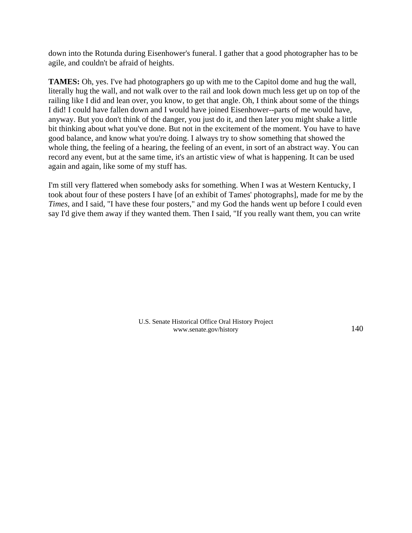down into the Rotunda during Eisenhower's funeral. I gather that a good photographer has to be agile, and couldn't be afraid of heights.

**TAMES:** Oh, yes. I've had photographers go up with me to the Capitol dome and hug the wall, literally hug the wall, and not walk over to the rail and look down much less get up on top of the railing like I did and lean over, you know, to get that angle. Oh, I think about some of the things I did! I could have fallen down and I would have joined Eisenhower--parts of me would have, anyway. But you don't think of the danger, you just do it, and then later you might shake a little bit thinking about what you've done. But not in the excitement of the moment. You have to have good balance, and know what you're doing. I always try to show something that showed the whole thing, the feeling of a hearing, the feeling of an event, in sort of an abstract way. You can record any event, but at the same time, it's an artistic view of what is happening. It can be used again and again, like some of my stuff has.

I'm still very flattered when somebody asks for something. When I was at Western Kentucky, I took about four of these posters I have [of an exhibit of Tames' photographs], made for me by the *Times*, and I said, "I have these four posters," and my God the hands went up before I could even say I'd give them away if they wanted them. Then I said, "If you really want them, you can write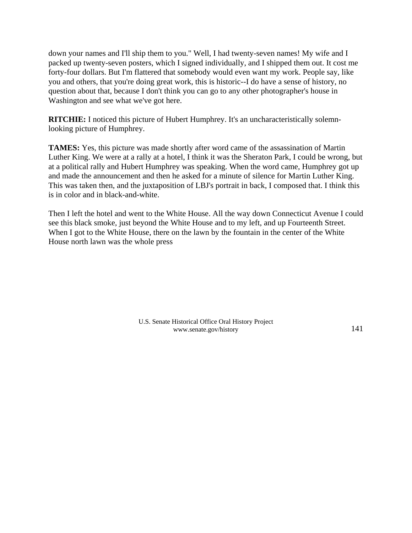down your names and I'll ship them to you." Well, I had twenty-seven names! My wife and I packed up twenty-seven posters, which I signed individually, and I shipped them out. It cost me forty-four dollars. But I'm flattered that somebody would even want my work. People say, like you and others, that you're doing great work, this is historic--I do have a sense of history, no question about that, because I don't think you can go to any other photographer's house in Washington and see what we've got here.

**RITCHIE:** I noticed this picture of Hubert Humphrey. It's an uncharacteristically solemnlooking picture of Humphrey.

**TAMES:** Yes, this picture was made shortly after word came of the assassination of Martin Luther King. We were at a rally at a hotel, I think it was the Sheraton Park, I could be wrong, but at a political rally and Hubert Humphrey was speaking. When the word came, Humphrey got up and made the announcement and then he asked for a minute of silence for Martin Luther King. This was taken then, and the juxtaposition of LBJ's portrait in back, I composed that. I think this is in color and in black-and-white.

Then I left the hotel and went to the White House. All the way down Connecticut Avenue I could see this black smoke, just beyond the White House and to my left, and up Fourteenth Street. When I got to the White House, there on the lawn by the fountain in the center of the White House north lawn was the whole press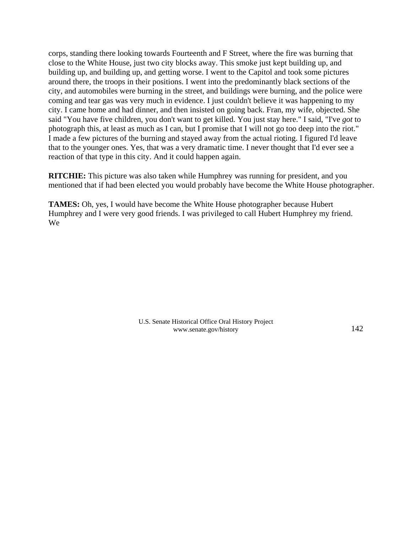corps, standing there looking towards Fourteenth and F Street, where the fire was burning that close to the White House, just two city blocks away. This smoke just kept building up, and building up, and building up, and getting worse. I went to the Capitol and took some pictures around there, the troops in their positions. I went into the predominantly black sections of the city, and automobiles were burning in the street, and buildings were burning, and the police were coming and tear gas was very much in evidence. I just couldn't believe it was happening to my city. I came home and had dinner, and then insisted on going back. Fran, my wife, objected. She said "You have five children, you don't want to get killed. You just stay here." I said, "I've *got* to photograph this, at least as much as I can, but I promise that I will not go too deep into the riot." I made a few pictures of the burning and stayed away from the actual rioting. I figured I'd leave that to the younger ones. Yes, that was a very dramatic time. I never thought that I'd ever see a reaction of that type in this city. And it could happen again.

**RITCHIE:** This picture was also taken while Humphrey was running for president, and you mentioned that if had been elected you would probably have become the White House photographer.

**TAMES:** Oh, yes, I would have become the White House photographer because Hubert Humphrey and I were very good friends. I was privileged to call Hubert Humphrey my friend. We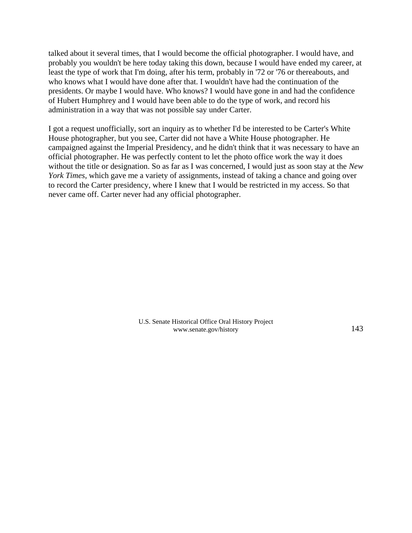talked about it several times, that I would become the official photographer. I would have, and probably you wouldn't be here today taking this down, because I would have ended my career, at least the type of work that I'm doing, after his term, probably in '72 or '76 or thereabouts, and who knows what I would have done after that. I wouldn't have had the continuation of the presidents. Or maybe I would have. Who knows? I would have gone in and had the confidence of Hubert Humphrey and I would have been able to do the type of work, and record his administration in a way that was not possible say under Carter.

I got a request unofficially, sort an inquiry as to whether I'd be interested to be Carter's White House photographer, but you see, Carter did not have a White House photographer. He campaigned against the Imperial Presidency, and he didn't think that it was necessary to have an official photographer. He was perfectly content to let the photo office work the way it does without the title or designation. So as far as I was concerned, I would just as soon stay at the *New York Times*, which gave me a variety of assignments, instead of taking a chance and going over to record the Carter presidency, where I knew that I would be restricted in my access. So that never came off. Carter never had any official photographer.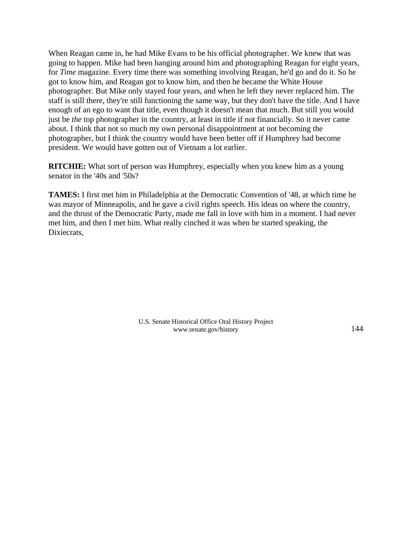When Reagan came in, he had Mike Evans to be his official photographer. We knew that was going to happen. Mike had been hanging around him and photographing Reagan for eight years, for *Time* magazine. Every time there was something involving Reagan, he'd go and do it. So he got to know him, and Reagan got to know him, and then he became the White House photographer. But Mike only stayed four years, and when he left they never replaced him. The staff is still there, they're still functioning the same way, but they don't have the title. And I have enough of an ego to want that title, even though it doesn't mean that much. But still you would just be *the* top photographer in the country, at least in title if not financially. So it never came about. I think that not so much my own personal disappointment at not becoming the photographer, but I think the country would have been better off if Humphrey had become president. We would have gotten out of Vietnam a lot earlier.

**RITCHIE:** What sort of person was Humphrey, especially when you knew him as a young senator in the '40s and '50s?

**TAMES:** I first met him in Philadelphia at the Democratic Convention of '48, at which time he was mayor of Minneapolis, and he gave a civil rights speech. His ideas on where the country, and the thrust of the Democratic Party, made me fall in love with him in a moment. I had never met him, and then I met him. What really cinched it was when he started speaking, the Dixiecrats,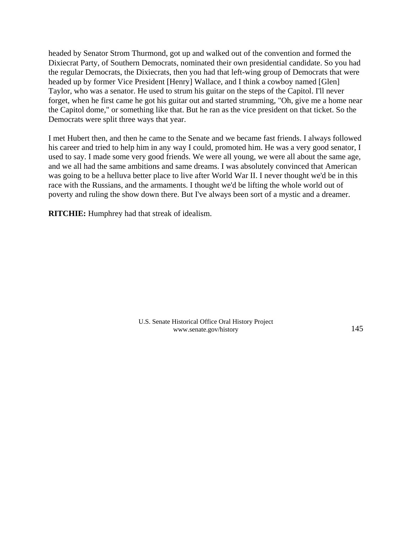headed by Senator Strom Thurmond, got up and walked out of the convention and formed the Dixiecrat Party, of Southern Democrats, nominated their own presidential candidate. So you had the regular Democrats, the Dixiecrats, then you had that left-wing group of Democrats that were headed up by former Vice President [Henry] Wallace, and I think a cowboy named [Glen] Taylor, who was a senator. He used to strum his guitar on the steps of the Capitol. I'll never forget, when he first came he got his guitar out and started strumming, "Oh, give me a home near the Capitol dome," or something like that. But he ran as the vice president on that ticket. So the Democrats were split three ways that year.

I met Hubert then, and then he came to the Senate and we became fast friends. I always followed his career and tried to help him in any way I could, promoted him. He was a very good senator, I used to say. I made some very good friends. We were all young, we were all about the same age, and we all had the same ambitions and same dreams. I was absolutely convinced that American was going to be a helluva better place to live after World War II. I never thought we'd be in this race with the Russians, and the armaments. I thought we'd be lifting the whole world out of poverty and ruling the show down there. But I've always been sort of a mystic and a dreamer.

**RITCHIE:** Humphrey had that streak of idealism.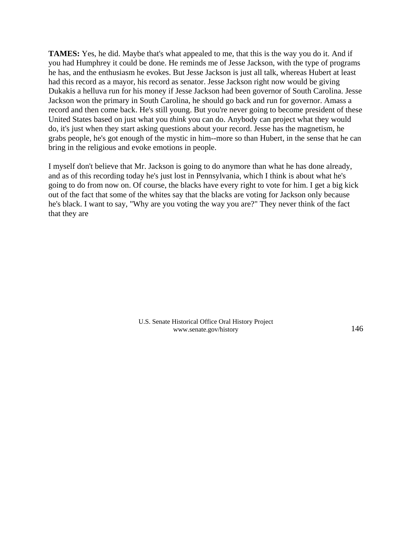**TAMES:** Yes, he did. Maybe that's what appealed to me, that this is the way you do it. And if you had Humphrey it could be done. He reminds me of Jesse Jackson, with the type of programs he has, and the enthusiasm he evokes. But Jesse Jackson is just all talk, whereas Hubert at least had this record as a mayor, his record as senator. Jesse Jackson right now would be giving Dukakis a helluva run for his money if Jesse Jackson had been governor of South Carolina. Jesse Jackson won the primary in South Carolina, he should go back and run for governor. Amass a record and then come back. He's still young. But you're never going to become president of these United States based on just what you *think* you can do. Anybody can project what they would do, it's just when they start asking questions about your record. Jesse has the magnetism, he grabs people, he's got enough of the mystic in him--more so than Hubert, in the sense that he can bring in the religious and evoke emotions in people.

I myself don't believe that Mr. Jackson is going to do anymore than what he has done already, and as of this recording today he's just lost in Pennsylvania, which I think is about what he's going to do from now on. Of course, the blacks have every right to vote for him. I get a big kick out of the fact that some of the whites say that the blacks are voting for Jackson only because he's black. I want to say, "Why are you voting the way you are?" They never think of the fact that they are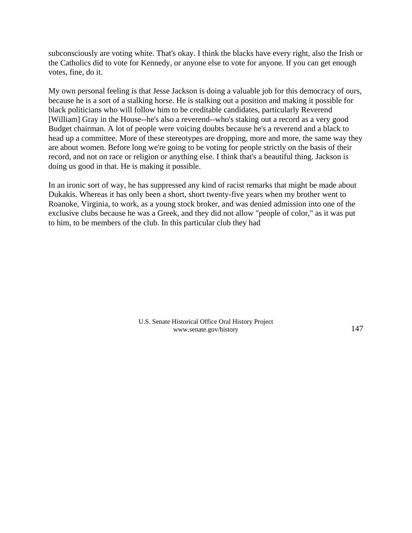subconsciously are voting white. That's okay. I think the blacks have every right, also the Irish or the Catholics did to vote for Kennedy, or anyone else to vote for anyone. If you can get enough votes, fine, do it.

My own personal feeling is that Jesse Jackson is doing a valuable job for this democracy of ours, because he is a sort of a stalking horse. He is stalking out a position and making it possible for black politicians who will follow him to be creditable candidates, particularly Reverend [William] Gray in the House--he's also a reverend--who's staking out a record as a very good Budget chairman. A lot of people were voicing doubts because he's a reverend and a black to head up a committee. More of these stereotypes are dropping, more and more, the same way they are about women. Before long we're going to be voting for people strictly on the basis of their record, and not on race or religion or anything else. I think that's a beautiful thing. Jackson is doing us good in that. He is making it possible.

In an ironic sort of way, he has suppressed any kind of racist remarks that might be made about Dukakis. Whereas it has only been a short, short twenty-five years when my brother went to Roanoke, Virginia, to work, as a young stock broker, and was denied admission into one of the exclusive clubs because he was a Greek, and they did not allow "people of color," as it was put to him, to be members of the club. In this particular club they had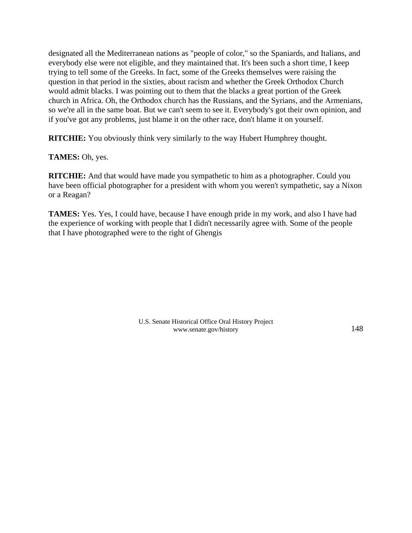designated all the Mediterranean nations as "people of color," so the Spaniards, and Italians, and everybody else were not eligible, and they maintained that. It's been such a short time, I keep trying to tell some of the Greeks. In fact, some of the Greeks themselves were raising the question in that period in the sixties, about racism and whether the Greek Orthodox Church would admit blacks. I was pointing out to them that the blacks a great portion of the Greek church in Africa. Oh, the Orthodox church has the Russians, and the Syrians, and the Armenians, so we're all in the same boat. But we can't seem to see it. Everybody's got their own opinion, and if you've got any problems, just blame it on the other race, don't blame it on yourself.

**RITCHIE:** You obviously think very similarly to the way Hubert Humphrey thought.

**TAMES:** Oh, yes.

**RITCHIE:** And that would have made you sympathetic to him as a photographer. Could you have been official photographer for a president with whom you weren't sympathetic, say a Nixon or a Reagan?

**TAMES:** Yes. Yes, I could have, because I have enough pride in my work, and also I have had the experience of working with people that I didn't necessarily agree with. Some of the people that I have photographed were to the right of Ghengis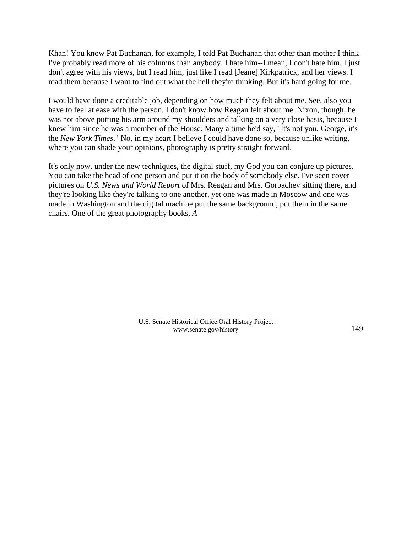Khan! You know Pat Buchanan, for example, I told Pat Buchanan that other than mother I think I've probably read more of his columns than anybody. I hate him--I mean, I don't hate him, I just don't agree with his views, but I read him, just like I read [Jeane] Kirkpatrick, and her views. I read them because I want to find out what the hell they're thinking. But it's hard going for me.

I would have done a creditable job, depending on how much they felt about me. See, also you have to feel at ease with the person. I don't know how Reagan felt about me. Nixon, though, he was not above putting his arm around my shoulders and talking on a very close basis, because I knew him since he was a member of the House. Many a time he'd say, "It's not you, George, it's the *New York Times*." No, in my heart I believe I could have done so, because unlike writing, where you can shade your opinions, photography is pretty straight forward.

It's only now, under the new techniques, the digital stuff, my God you can conjure up pictures. You can take the head of one person and put it on the body of somebody else. I've seen cover pictures on *U.S. News and World Report* of Mrs. Reagan and Mrs. Gorbachev sitting there, and they're looking like they're talking to one another, yet one was made in Moscow and one was made in Washington and the digital machine put the same background, put them in the same chairs. One of the great photography books, *A*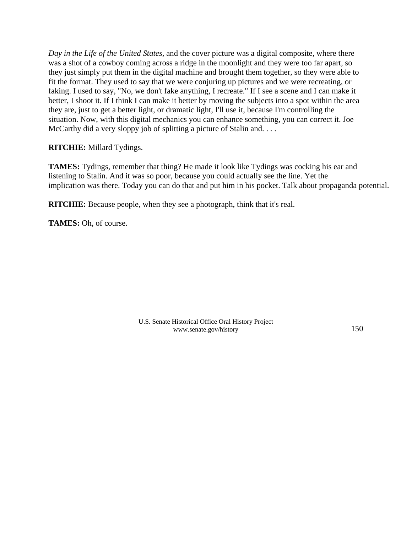*Day in the Life of the United States*, and the cover picture was a digital composite, where there was a shot of a cowboy coming across a ridge in the moonlight and they were too far apart, so they just simply put them in the digital machine and brought them together, so they were able to fit the format. They used to say that we were conjuring up pictures and we were recreating, or faking. I used to say, "No, we don't fake anything, I recreate." If I see a scene and I can make it better, I shoot it. If I think I can make it better by moving the subjects into a spot within the area they are, just to get a better light, or dramatic light, I'll use it, because I'm controlling the situation. Now, with this digital mechanics you can enhance something, you can correct it. Joe McCarthy did a very sloppy job of splitting a picture of Stalin and....

## **RITCHIE:** Millard Tydings.

**TAMES:** Tydings, remember that thing? He made it look like Tydings was cocking his ear and listening to Stalin. And it was so poor, because you could actually see the line. Yet the implication was there. Today you can do that and put him in his pocket. Talk about propaganda potential.

**RITCHIE:** Because people, when they see a photograph, think that it's real.

**TAMES:** Oh, of course.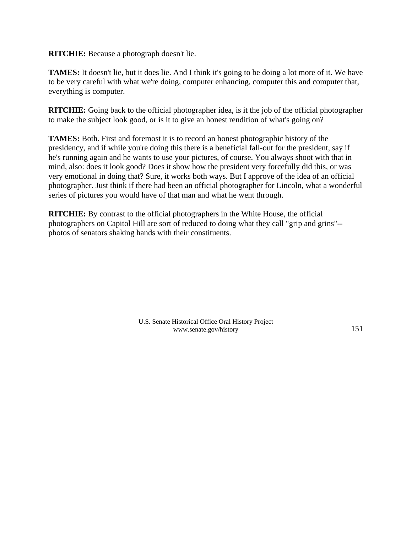**RITCHIE:** Because a photograph doesn't lie.

**TAMES:** It doesn't lie, but it does lie. And I think it's going to be doing a lot more of it. We have to be very careful with what we're doing, computer enhancing, computer this and computer that, everything is computer.

**RITCHIE:** Going back to the official photographer idea, is it the job of the official photographer to make the subject look good, or is it to give an honest rendition of what's going on?

**TAMES:** Both. First and foremost it is to record an honest photographic history of the presidency, and if while you're doing this there is a beneficial fall-out for the president, say if he's running again and he wants to use your pictures, of course. You always shoot with that in mind, also: does it look good? Does it show how the president very forcefully did this, or was very emotional in doing that? Sure, it works both ways. But I approve of the idea of an official photographer. Just think if there had been an official photographer for Lincoln, what a wonderful series of pictures you would have of that man and what he went through.

**RITCHIE:** By contrast to the official photographers in the White House, the official photographers on Capitol Hill are sort of reduced to doing what they call "grip and grins"- photos of senators shaking hands with their constituents.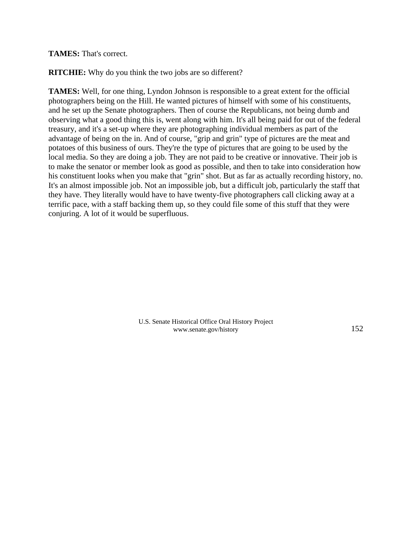## **TAMES:** That's correct.

**RITCHIE:** Why do you think the two jobs are so different?

**TAMES:** Well, for one thing, Lyndon Johnson is responsible to a great extent for the official photographers being on the Hill. He wanted pictures of himself with some of his constituents, and he set up the Senate photographers. Then of course the Republicans, not being dumb and observing what a good thing this is, went along with him. It's all being paid for out of the federal treasury, and it's a set-up where they are photographing individual members as part of the advantage of being on the in. And of course, "grip and grin" type of pictures are the meat and potatoes of this business of ours. They're the type of pictures that are going to be used by the local media. So they are doing a job. They are not paid to be creative or innovative. Their job is to make the senator or member look as good as possible, and then to take into consideration how his constituent looks when you make that "grin" shot. But as far as actually recording history, no. It's an almost impossible job. Not an impossible job, but a difficult job, particularly the staff that they have. They literally would have to have twenty-five photographers call clicking away at a terrific pace, with a staff backing them up, so they could file some of this stuff that they were conjuring. A lot of it would be superfluous.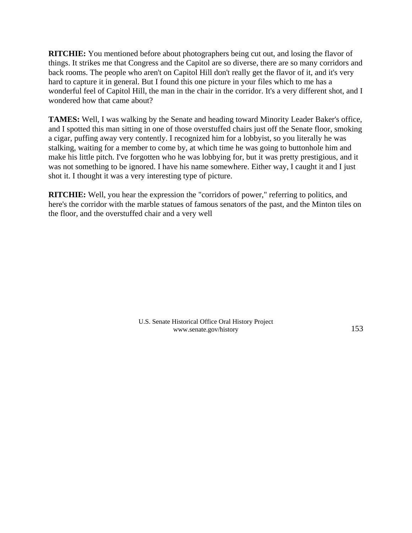**RITCHIE:** You mentioned before about photographers being cut out, and losing the flavor of things. It strikes me that Congress and the Capitol are so diverse, there are so many corridors and back rooms. The people who aren't on Capitol Hill don't really get the flavor of it, and it's very hard to capture it in general. But I found this one picture in your files which to me has a wonderful feel of Capitol Hill, the man in the chair in the corridor. It's a very different shot, and I wondered how that came about?

**TAMES:** Well, I was walking by the Senate and heading toward Minority Leader Baker's office, and I spotted this man sitting in one of those overstuffed chairs just off the Senate floor, smoking a cigar, puffing away very contently. I recognized him for a lobbyist, so you literally he was stalking, waiting for a member to come by, at which time he was going to buttonhole him and make his little pitch. I've forgotten who he was lobbying for, but it was pretty prestigious, and it was not something to be ignored. I have his name somewhere. Either way, I caught it and I just shot it. I thought it was a very interesting type of picture.

**RITCHIE:** Well, you hear the expression the "corridors of power," referring to politics, and here's the corridor with the marble statues of famous senators of the past, and the Minton tiles on the floor, and the overstuffed chair and a very well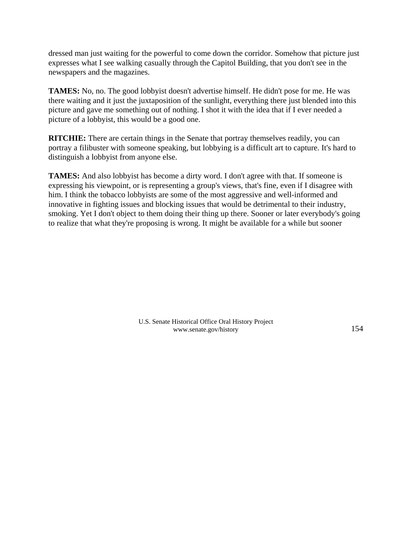dressed man just waiting for the powerful to come down the corridor. Somehow that picture just expresses what I see walking casually through the Capitol Building, that you don't see in the newspapers and the magazines.

**TAMES:** No, no. The good lobbyist doesn't advertise himself. He didn't pose for me. He was there waiting and it just the juxtaposition of the sunlight, everything there just blended into this picture and gave me something out of nothing. I shot it with the idea that if I ever needed a picture of a lobbyist, this would be a good one.

**RITCHIE:** There are certain things in the Senate that portray themselves readily, you can portray a filibuster with someone speaking, but lobbying is a difficult art to capture. It's hard to distinguish a lobbyist from anyone else.

**TAMES:** And also lobbyist has become a dirty word. I don't agree with that. If someone is expressing his viewpoint, or is representing a group's views, that's fine, even if I disagree with him. I think the tobacco lobbyists are some of the most aggressive and well-informed and innovative in fighting issues and blocking issues that would be detrimental to their industry, smoking. Yet I don't object to them doing their thing up there. Sooner or later everybody's going to realize that what they're proposing is wrong. It might be available for a while but sooner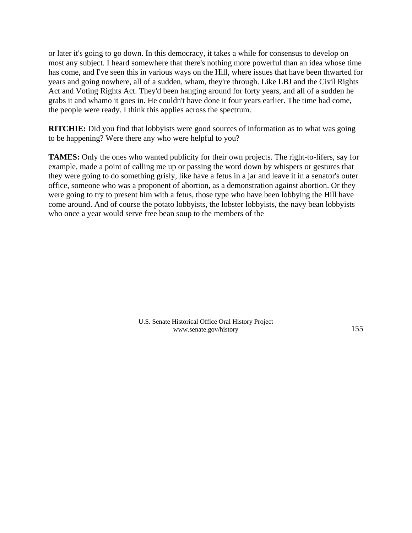or later it's going to go down. In this democracy, it takes a while for consensus to develop on most any subject. I heard somewhere that there's nothing more powerful than an idea whose time has come, and I've seen this in various ways on the Hill, where issues that have been thwarted for years and going nowhere, all of a sudden, wham, they're through. Like LBJ and the Civil Rights Act and Voting Rights Act. They'd been hanging around for forty years, and all of a sudden he grabs it and whamo it goes in. He couldn't have done it four years earlier. The time had come, the people were ready. I think this applies across the spectrum.

**RITCHIE:** Did you find that lobbyists were good sources of information as to what was going to be happening? Were there any who were helpful to you?

**TAMES:** Only the ones who wanted publicity for their own projects. The right-to-lifers, say for example, made a point of calling me up or passing the word down by whispers or gestures that they were going to do something grisly, like have a fetus in a jar and leave it in a senator's outer office, someone who was a proponent of abortion, as a demonstration against abortion. Or they were going to try to present him with a fetus, those type who have been lobbying the Hill have come around. And of course the potato lobbyists, the lobster lobbyists, the navy bean lobbyists who once a year would serve free bean soup to the members of the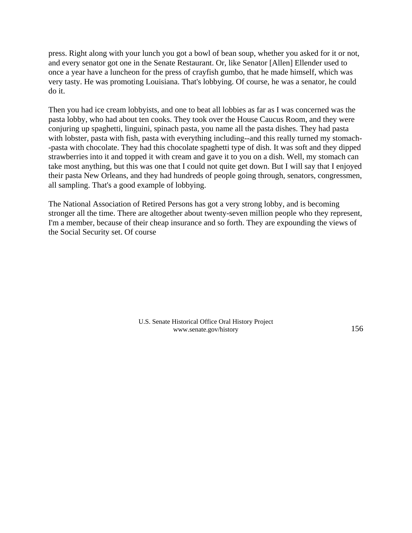press. Right along with your lunch you got a bowl of bean soup, whether you asked for it or not, and every senator got one in the Senate Restaurant. Or, like Senator [Allen] Ellender used to once a year have a luncheon for the press of crayfish gumbo, that he made himself, which was very tasty. He was promoting Louisiana. That's lobbying. Of course, he was a senator, he could do it.

Then you had ice cream lobbyists, and one to beat all lobbies as far as I was concerned was the pasta lobby, who had about ten cooks. They took over the House Caucus Room, and they were conjuring up spaghetti, linguini, spinach pasta, you name all the pasta dishes. They had pasta with lobster, pasta with fish, pasta with everything including--and this really turned my stomach--pasta with chocolate. They had this chocolate spaghetti type of dish. It was soft and they dipped strawberries into it and topped it with cream and gave it to you on a dish. Well, my stomach can take most anything, but this was one that I could not quite get down. But I will say that I enjoyed their pasta New Orleans, and they had hundreds of people going through, senators, congressmen, all sampling. That's a good example of lobbying.

The National Association of Retired Persons has got a very strong lobby, and is becoming stronger all the time. There are altogether about twenty-seven million people who they represent, I'm a member, because of their cheap insurance and so forth. They are expounding the views of the Social Security set. Of course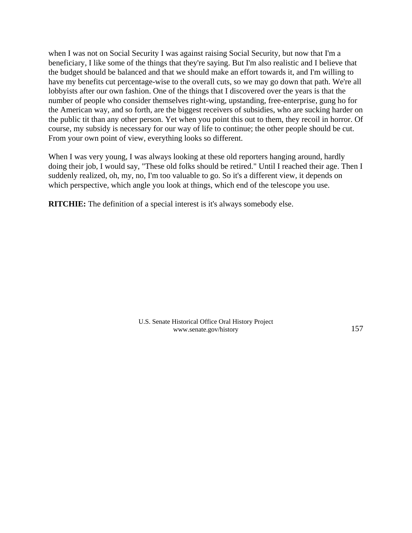when I was not on Social Security I was against raising Social Security, but now that I'm a beneficiary, I like some of the things that they're saying. But I'm also realistic and I believe that the budget should be balanced and that we should make an effort towards it, and I'm willing to have my benefits cut percentage-wise to the overall cuts, so we may go down that path. We're all lobbyists after our own fashion. One of the things that I discovered over the years is that the number of people who consider themselves right-wing, upstanding, free-enterprise, gung ho for the American way, and so forth, are the biggest receivers of subsidies, who are sucking harder on the public tit than any other person. Yet when you point this out to them, they recoil in horror. Of course, my subsidy is necessary for our way of life to continue; the other people should be cut. From your own point of view, everything looks so different.

When I was very young, I was always looking at these old reporters hanging around, hardly doing their job, I would say, "These old folks should be retired." Until I reached their age. Then I suddenly realized, oh, my, no, I'm too valuable to go. So it's a different view, it depends on which perspective, which angle you look at things, which end of the telescope you use.

**RITCHIE:** The definition of a special interest is it's always somebody else.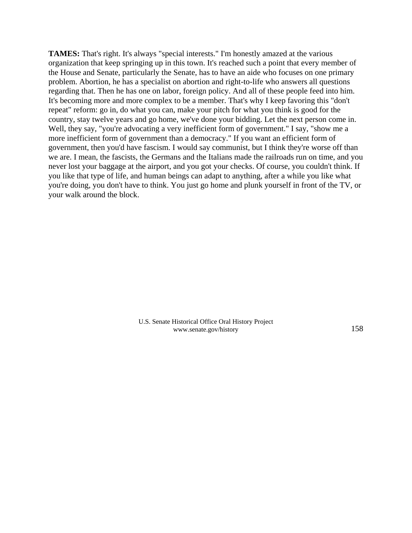**TAMES:** That's right. It's always "special interests." I'm honestly amazed at the various organization that keep springing up in this town. It's reached such a point that every member of the House and Senate, particularly the Senate, has to have an aide who focuses on one primary problem. Abortion, he has a specialist on abortion and right-to-life who answers all questions regarding that. Then he has one on labor, foreign policy. And all of these people feed into him. It's becoming more and more complex to be a member. That's why I keep favoring this "don't repeat" reform: go in, do what you can, make your pitch for what you think is good for the country, stay twelve years and go home, we've done your bidding. Let the next person come in. Well, they say, "you're advocating a very inefficient form of government." I say, "show me a more inefficient form of government than a democracy." If you want an efficient form of government, then you'd have fascism. I would say communist, but I think they're worse off than we are. I mean, the fascists, the Germans and the Italians made the railroads run on time, and you never lost your baggage at the airport, and you got your checks. Of course, you couldn't think. If you like that type of life, and human beings can adapt to anything, after a while you like what you're doing, you don't have to think. You just go home and plunk yourself in front of the TV, or your walk around the block.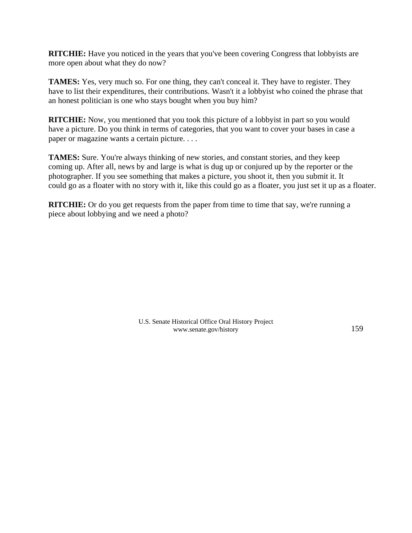**RITCHIE:** Have you noticed in the years that you've been covering Congress that lobbyists are more open about what they do now?

**TAMES:** Yes, very much so. For one thing, they can't conceal it. They have to register. They have to list their expenditures, their contributions. Wasn't it a lobbyist who coined the phrase that an honest politician is one who stays bought when you buy him?

**RITCHIE:** Now, you mentioned that you took this picture of a lobbyist in part so you would have a picture. Do you think in terms of categories, that you want to cover your bases in case a paper or magazine wants a certain picture. . . .

**TAMES:** Sure. You're always thinking of new stories, and constant stories, and they keep coming up. After all, news by and large is what is dug up or conjured up by the reporter or the photographer. If you see something that makes a picture, you shoot it, then you submit it. It could go as a floater with no story with it, like this could go as a floater, you just set it up as a floater.

**RITCHIE:** Or do you get requests from the paper from time to time that say, we're running a piece about lobbying and we need a photo?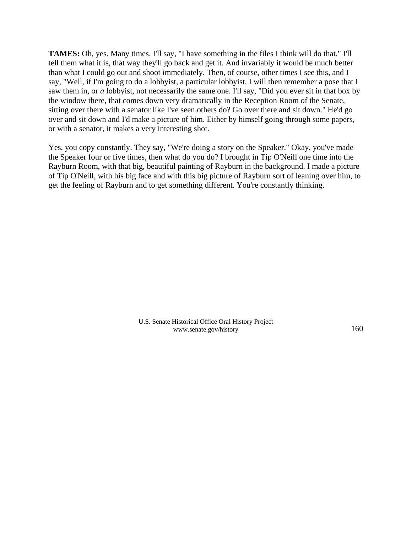**TAMES:** Oh, yes. Many times. I'll say, "I have something in the files I think will do that." I'll tell them what it is, that way they'll go back and get it. And invariably it would be much better than what I could go out and shoot immediately. Then, of course, other times I see this, and I say, "Well, if I'm going to do a lobbyist, a particular lobbyist, I will then remember a pose that I saw them in, or *a* lobbyist, not necessarily the same one. I'll say, "Did you ever sit in that box by the window there, that comes down very dramatically in the Reception Room of the Senate, sitting over there with a senator like I've seen others do? Go over there and sit down." He'd go over and sit down and I'd make a picture of him. Either by himself going through some papers, or with a senator, it makes a very interesting shot.

Yes, you copy constantly. They say, "We're doing a story on the Speaker." Okay, you've made the Speaker four or five times, then what do you do? I brought in Tip O'Neill one time into the Rayburn Room, with that big, beautiful painting of Rayburn in the background. I made a picture of Tip O'Neill, with his big face and with this big picture of Rayburn sort of leaning over him, to get the feeling of Rayburn and to get something different. You're constantly thinking.